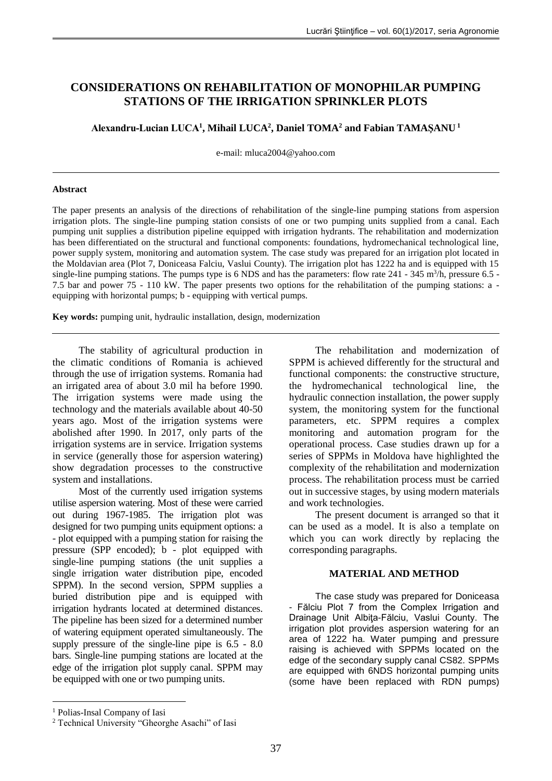# **CONSIDERATIONS ON REHABILITATION OF MONOPHILAR PUMPING STATIONS OF THE IRRIGATION SPRINKLER PLOTS**

**Alexandru-Lucian LUCA<sup>1</sup> , Mihail LUCA<sup>2</sup> , Daniel TOMA<sup>2</sup> and Fabian TAMAŞANU <sup>1</sup>**

e-mail: [mluca2004@yahoo.com](mailto:mluca2004@yahoo.com)

#### **Abstract**

The paper presents an analysis of the directions of rehabilitation of the single-line pumping stations from aspersion irrigation plots. The single-line pumping station consists of one or two pumping units supplied from a canal. Each pumping unit supplies a distribution pipeline equipped with irrigation hydrants. The rehabilitation and modernization has been differentiated on the structural and functional components: foundations, hydromechanical technological line, power supply system, monitoring and automation system. The case study was prepared for an irrigation plot located in the Moldavian area (Plot 7, Doniceasa Falciu, Vaslui County). The irrigation plot has 1222 ha and is equipped with 15 single-line pumping stations. The pumps type is  $6 \text{ NDS}$  and has the parameters: flow rate  $241 - 345 \text{ m}^3/\text{h}$ , pressure  $6.5$  -7.5 bar and power 75 - 110 kW. The paper presents two options for the rehabilitation of the pumping stations: a equipping with horizontal pumps; b - equipping with vertical pumps.

**Key words:** pumping unit, hydraulic installation, design, modernization

The stability of agricultural production in the climatic conditions of Romania is achieved through the use of irrigation systems. Romania had an irrigated area of about 3.0 mil ha before 1990. The irrigation systems were made using the technology and the materials available about 40-50 years ago. Most of the irrigation systems were abolished after 1990. In 2017, only parts of the irrigation systems are in service. Irrigation systems in service (generally those for aspersion watering) show degradation processes to the constructive system and installations.

Most of the currently used irrigation systems utilise aspersion watering. Most of these were carried out during 1967-1985. The irrigation plot was designed for two pumping units equipment options: a - plot equipped with a pumping station for raising the pressure (SPP encoded); b - plot equipped with single-line pumping stations (the unit supplies a single irrigation water distribution pipe, encoded SPPM). In the second version, SPPM supplies a buried distribution pipe and is equipped with irrigation hydrants located at determined distances. The pipeline has been sized for a determined number of watering equipment operated simultaneously. The supply pressure of the single-line pipe is 6.5 - 8.0 bars. Single-line pumping stations are located at the edge of the irrigation plot supply canal. SPPM may be equipped with one or two pumping units.

The present document is arranged so that it can be used as a model. It is also a template on which you can work directly by replacing the corresponding paragraphs.

## **MATERIAL AND METHOD**

The case study was prepared for Doniceasa - Fălciu Plot 7 from the Complex Irrigation and Drainage Unit Albiţa-Fălciu, Vaslui County. The irrigation plot provides aspersion watering for an area of 1222 ha. Water pumping and pressure raising is achieved with SPPMs located on the edge of the secondary supply canal CS82. SPPMs are equipped with 6NDS horizontal pumping units (some have been replaced with RDN pumps)

<u>.</u>

The rehabilitation and modernization of SPPM is achieved differently for the structural and functional components: the constructive structure, the hydromechanical technological line, the hydraulic connection installation, the power supply system, the monitoring system for the functional parameters, etc. SPPM requires a complex monitoring and automation program for the operational process. Case studies drawn up for a series of SPPMs in Moldova have highlighted the complexity of the rehabilitation and modernization process. The rehabilitation process must be carried out in successive stages, by using modern materials and work technologies.

<sup>1</sup> Polias-Insal Company of Iasi

<sup>2</sup> Technical University "Gheorghe Asachi" of Iasi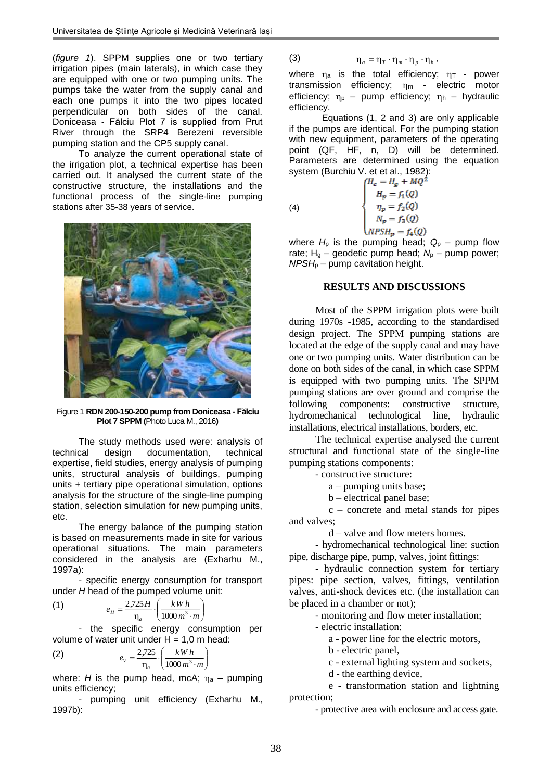(*figure 1*). SPPM supplies one or two tertiary irrigation pipes (main laterals), in which case they are equipped with one or two pumping units. The pumps take the water from the supply canal and each one pumps it into the two pipes located perpendicular on both sides of the canal. Doniceasa - Fălciu Plot 7 is supplied from Prut River through the SRP4 Berezeni reversible pumping station and the CP5 supply canal.

To analyze the current operational state of the irrigation plot, a technical expertise has been carried out. It analysed the current state of the constructive structure, the installations and the functional process of the single-line pumping stations after 35-38 years of service.



Figure 1 **RDN 200-150-200 pump from Doniceasa - Fălciu Plot 7 SPPM (**Photo Luca M., 2016**)**

The study methods used were: analysis of technical design documentation, technical expertise, field studies, energy analysis of pumping units, structural analysis of buildings, pumping units + tertiary pipe operational simulation, options analysis for the structure of the single-line pumping station, selection simulation for new pumping units, etc.

The energy balance of the pumping station is based on measurements made in site for various operational situations. The main parameters considered in the analysis are (Exharhu M., 1997a):

- specific energy consumption for transport under *H* head of the pumped volume unit:

(1) 
$$
e_{H} = \frac{2.725 H}{\eta_{a}} \cdot \left(\frac{k W h}{1000 m^{3} \cdot m}\right)
$$

- the specific energy consumption per volume of water unit under  $H = 1,0$  m head:

(2) 
$$
e_{V} = \frac{2,725}{\eta_{a}} \cdot \left(\frac{kWh}{1000 m^{3} \cdot m}\right)
$$

where: *H* is the pump head, mcA;  $n_a$  – pumping units efficiency;

- pumping unit efficiency (Exharhu M., 1997b):

$$
\eta_{a} = \eta_{T} \cdot \eta_{m} \cdot \eta_{p} \cdot \eta_{h},
$$

where  $\eta_a$  is the total efficiency;  $\eta_{\text{T}}$  - power transmission efficiency;  $\eta_m$  - electric motor efficiency;  $\eta_{\rm p}$  – pump efficiency;  $\eta_{\rm h}$  – hydraulic efficiency.

Equations (1, 2 and 3) are only applicable if the pumps are identical. For the pumping station with new equipment, parameters of the operating point (QF, HF, n, D) will be determined. Parameters are determined using the equation system (Burchiu V. et et al., 1982):<br> $\int H_c = H_a + MQ^2$ 

$$
\left(4\right)
$$

(3)

 $H_p = f_1(Q)$ <br>  $\eta_p = f_2(Q)$ <br>  $N_p = f_3(Q)$ 

 $NPSH_p = f_4(Q)$ 

where  $H<sub>p</sub>$  is the pumping head;  $Q<sub>p</sub>$  – pump flow rate; H<sub>g</sub> – geodetic pump head; N<sub>p</sub> – pump power;  $NPSH<sub>p</sub>$  – pump cavitation height.

#### **RESULTS AND DISCUSSIONS**

Most of the SPPM irrigation plots were built during 1970s -1985, according to the standardised design project. The SPPM pumping stations are located at the edge of the supply canal and may have one or two pumping units. Water distribution can be done on both sides of the canal, in which case SPPM is equipped with two pumping units. The SPPM pumping stations are over ground and comprise the following components: constructive structure, hydromechanical technological line, hydraulic installations, electrical installations, borders, etc.

The technical expertise analysed the current structural and functional state of the single-line pumping stations components:

- constructive structure:

a – pumping units base;

b – electrical panel base;

c – concrete and metal stands for pipes and valves;

d – valve and flow meters homes.

- hydromechanical technological line: suction pipe, discharge pipe, pump, valves, joint fittings:

- hydraulic connection system for tertiary pipes: pipe section, valves, fittings, ventilation valves, anti-shock devices etc. (the installation can be placed in a chamber or not);

- monitoring and flow meter installation;

- electric installation:

a - power line for the electric motors,

b - electric panel,

c - external lighting system and sockets,

d - the earthing device,

e - transformation station and lightning protection;

- protective area with enclosure and access gate.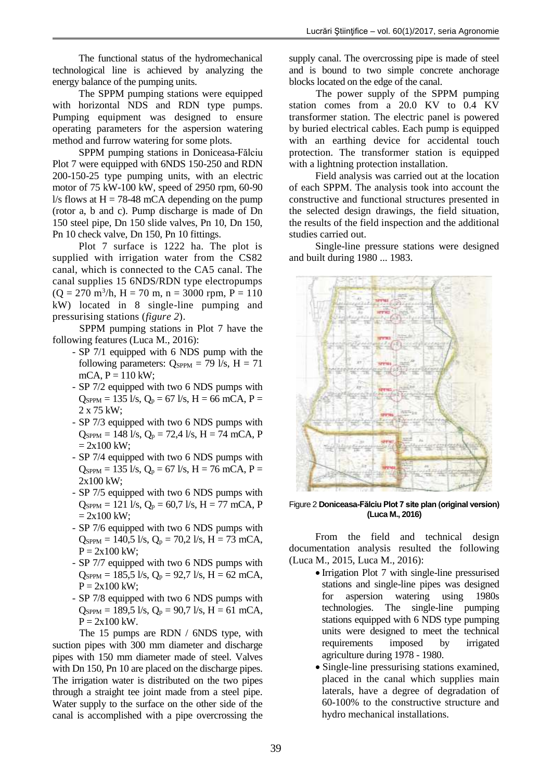The functional status of the hydromechanical technological line is achieved by analyzing the energy balance of the pumping units.

The SPPM pumping stations were equipped with horizontal NDS and RDN type pumps. Pumping equipment was designed to ensure operating parameters for the aspersion watering method and furrow watering for some plots.

SPPM pumping stations in Doniceasa-Fălciu Plot 7 were equipped with 6NDS 150-250 and RDN 200-150-25 type pumping units, with an electric motor of 75 kW-100 kW, speed of 2950 rpm, 60-90 l/s flows at  $H = 78-48$  mCA depending on the pump (rotor a, b and c). Pump discharge is made of Dn 150 steel pipe, Dn 150 slide valves, Pn 10, Dn 150, Pn 10 check valve, Dn 150, Pn 10 fittings.

Plot 7 surface is 1222 ha. The plot is supplied with irrigation water from the CS82 canal, which is connected to the CA5 canal. The canal supplies 15 6NDS/RDN type electropumps  $(Q = 270 \text{ m}^3/\text{h}, H = 70 \text{ m}, n = 3000 \text{ rpm}, P = 110$ kW) located in 8 single-line pumping and pressurising stations (*figure 2*).

SPPM pumping stations in Plot 7 have the following features (Luca M., 2016):

- SP 7/1 equipped with 6 NDS pump with the following parameters:  $Q_{SPPM} = 79 \text{ l/s}, H = 71$  $mCA, P = 110$  kW;
- SP 7/2 equipped with two 6 NDS pumps with  $Q_{SPPM} = 135$  l/s,  $Q_p = 67$  l/s, H = 66 mCA, P = 2 x 75 kW;
- SP 7/3 equipped with two 6 NDS pumps with  $Q_{SPPM} = 148 \text{ l/s}, Q_p = 72.4 \text{ l/s}, H = 74 \text{ mCA}, P$  $= 2x100$  kW;
- SP 7/4 equipped with two 6 NDS pumps with  $Q_{SPPM} = 135$  l/s,  $Q_p = 67$  l/s, H = 76 mCA, P = 2x100 kW;
- SP 7/5 equipped with two 6 NDS pumps with  $Q_{SPPM} = 121$  l/s,  $Q_p = 60,7$  l/s, H = 77 mCA, P  $= 2x100$  kW;
- SP 7/6 equipped with two 6 NDS pumps with  $Q_{SPPM} = 140,5$  l/s,  $Q_p = 70,2$  l/s, H = 73 mCA,  $P = 2x100$  kW;
- SP 7/7 equipped with two 6 NDS pumps with  $Q_{SPPM} = 185,5$  l/s,  $Q_p = 92,7$  l/s, H = 62 mCA,  $P = 2x100$  kW;
- SP 7/8 equipped with two 6 NDS pumps with  $Q_{SPPM} = 189.5 \frac{1}{s}$ ,  $Q_p = 90.7 \frac{1}{s}$ ,  $H = 61 \frac{mCA}{s}$  $P = 2x100$  kW.

The 15 pumps are RDN / 6NDS type, with suction pipes with 300 mm diameter and discharge pipes with 150 mm diameter made of steel. Valves with Dn 150, Pn 10 are placed on the discharge pipes. The irrigation water is distributed on the two pipes through a straight tee joint made from a steel pipe. Water supply to the surface on the other side of the canal is accomplished with a pipe overcrossing the supply canal. The overcrossing pipe is made of steel and is bound to two simple concrete anchorage blocks located on the edge of the canal.

The power supply of the SPPM pumping station comes from a 20.0 KV to 0.4 KV transformer station. The electric panel is powered by buried electrical cables. Each pump is equipped with an earthing device for accidental touch protection. The transformer station is equipped with a lightning protection installation.

Field analysis was carried out at the location of each SPPM. The analysis took into account the constructive and functional structures presented in the selected design drawings, the field situation, the results of the field inspection and the additional studies carried out.

Single-line pressure stations were designed and built during 1980 ... 1983.



Figure 2 **Doniceasa-Fălciu Plot 7 site plan (original version) (Luca M., 2016)**

From the field and technical design documentation analysis resulted the following (Luca M., 2015, Luca M., 2016):

- Irrigation Plot 7 with single-line pressurised stations and single-line pipes was designed for aspersion watering using 1980s technologies. The single-line pumping stations equipped with 6 NDS type pumping units were designed to meet the technical requirements imposed by irrigated agriculture during 1978 - 1980.
- Single-line pressurising stations examined, placed in the canal which supplies main laterals, have a degree of degradation of 60-100% to the constructive structure and hydro mechanical installations.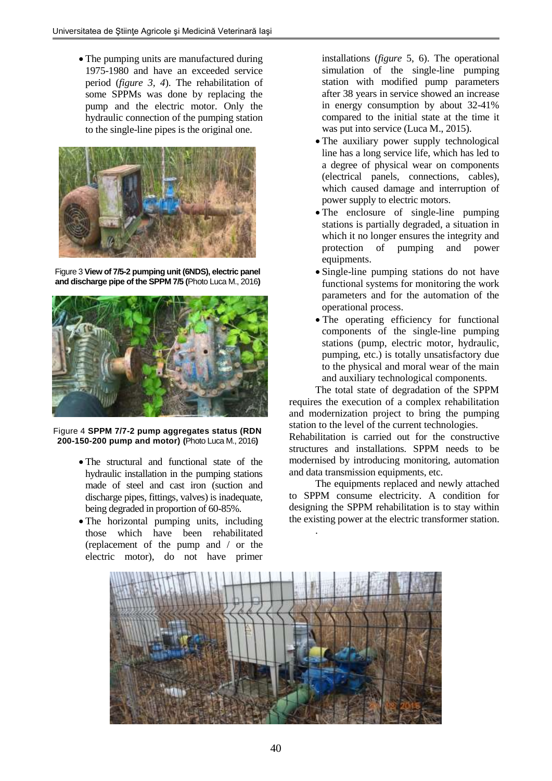• The pumping units are manufactured during 1975-1980 and have an exceeded service period (*figure 3, 4*). The rehabilitation of some SPPMs was done by replacing the pump and the electric motor. Only the hydraulic connection of the pumping station to the single-line pipes is the original one.



Figure 3 **View of 7/5-2 pumping unit (6NDS), electric panel and discharge pipe of the SPPM 7/5 (**Photo Luca M., 2016**)**



Figure 4 **SPPM 7/7-2 pump aggregates status (RDN 200-150-200 pump and motor) (**Photo Luca M., 2016**)**

- The structural and functional state of the hydraulic installation in the pumping stations made of steel and cast iron (suction and discharge pipes, fittings, valves) is inadequate, being degraded in proportion of 60-85%.
- The horizontal pumping units, including those which have been rehabilitated (replacement of the pump and / or the electric motor), do not have primer

installations (*figure* 5, 6). The operational simulation of the single-line pumping station with modified pump parameters after 38 years in service showed an increase in energy consumption by about 32-41% compared to the initial state at the time it was put into service (Luca M., 2015).

- The auxiliary power supply technological line has a long service life, which has led to a degree of physical wear on components (electrical panels, connections, cables), which caused damage and interruption of power supply to electric motors.
- The enclosure of single-line pumping stations is partially degraded, a situation in which it no longer ensures the integrity and protection of pumping and power equipments.
- Single-line pumping stations do not have functional systems for monitoring the work parameters and for the automation of the operational process.
- The operating efficiency for functional components of the single-line pumping stations (pump, electric motor, hydraulic, pumping, etc.) is totally unsatisfactory due to the physical and moral wear of the main and auxiliary technological components.

The total state of degradation of the SPPM requires the execution of a complex rehabilitation and modernization project to bring the pumping station to the level of the current technologies.

Rehabilitation is carried out for the constructive structures and installations. SPPM needs to be modernised by introducing monitoring, automation and data transmission equipments, etc.

The equipments replaced and newly attached to SPPM consume electricity. A condition for designing the SPPM rehabilitation is to stay within the existing power at the electric transformer station.



.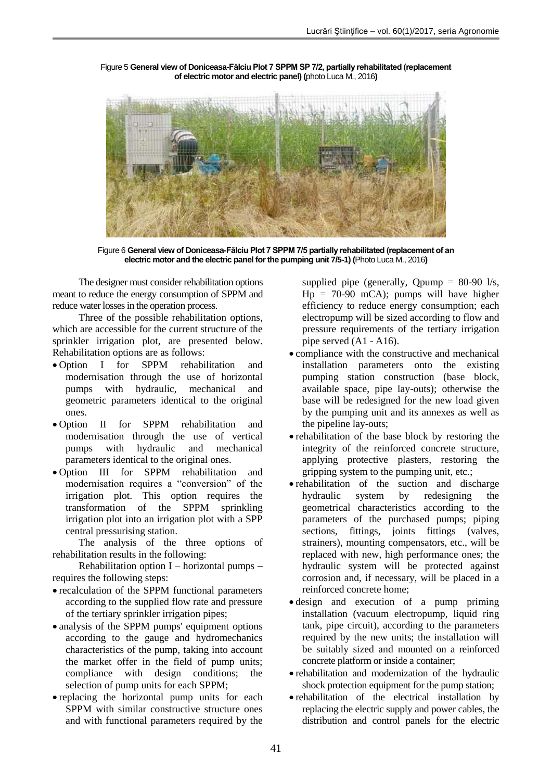Figure 5 **General view of Doniceasa-Fălciu Plot 7 SPPM SP 7/2, partially rehabilitated (replacement of electric motor and electric panel) (**photo Luca M., 2016**)**

Figure 6 **General view of Doniceasa-Fălciu Plot 7 SPPM 7/5 partially rehabilitated (replacement of an electric motor and the electric panel for the pumping unit 7/5-1) (**Photo Luca M., 2016**)**

The designer must consider rehabilitation options meant to reduce the energy consumption of SPPM and reduce water losses in the operation process.

Three of the possible rehabilitation options, which are accessible for the current structure of the sprinkler irrigation plot, are presented below. Rehabilitation options are as follows:

- Option I for SPPM rehabilitation and modernisation through the use of horizontal pumps with hydraulic, mechanical and geometric parameters identical to the original ones.
- Option II for SPPM rehabilitation and modernisation through the use of vertical<br>pumps with hydraulic and mechanical pumps with hydraulic and mechanical parameters identical to the original ones.
- Option III for SPPM rehabilitation and modernisation requires a "conversion" of the irrigation plot. This option requires the transformation of the SPPM sprinkling irrigation plot into an irrigation plot with a SPP central pressurising station.

The analysis of the three options of rehabilitation results in the following:

Rehabilitation option I – horizontal pumps **–** requires the following steps:

- recalculation of the SPPM functional parameters according to the supplied flow rate and pressure of the tertiary sprinkler irrigation pipes;
- analysis of the SPPM pumps' equipment options according to the gauge and hydromechanics characteristics of the pump, taking into account the market offer in the field of pump units; compliance with design conditions; the selection of pump units for each SPPM;
- replacing the horizontal pump units for each SPPM with similar constructive structure ones and with functional parameters required by the

supplied pipe (generally, Qpump = 80-90 l/s,  $Hp = 70-90$  mCA); pumps will have higher efficiency to reduce energy consumption; each electropump will be sized according to flow and pressure requirements of the tertiary irrigation pipe served (A1 - A16).

- compliance with the constructive and mechanical installation parameters onto the existing pumping station construction (base block, available space, pipe lay-outs); otherwise the base will be redesigned for the new load given by the pumping unit and its annexes as well as the pipeline lay-outs;
- rehabilitation of the base block by restoring the integrity of the reinforced concrete structure, applying protective plasters, restoring the gripping system to the pumping unit, etc.;
- rehabilitation of the suction and discharge hydraulic system by redesigning the geometrical characteristics according to the parameters of the purchased pumps; piping sections, fittings, joints fittings (valves, strainers), mounting compensators, etc., will be replaced with new, high performance ones; the hydraulic system will be protected against corrosion and, if necessary, will be placed in a reinforced concrete home;
- design and execution of a pump priming installation (vacuum electropump, liquid ring tank, pipe circuit), according to the parameters required by the new units; the installation will be suitably sized and mounted on a reinforced concrete platform or inside a container;
- rehabilitation and modernization of the hydraulic shock protection equipment for the pump station;
- rehabilitation of the electrical installation by replacing the electric supply and power cables, the distribution and control panels for the electric